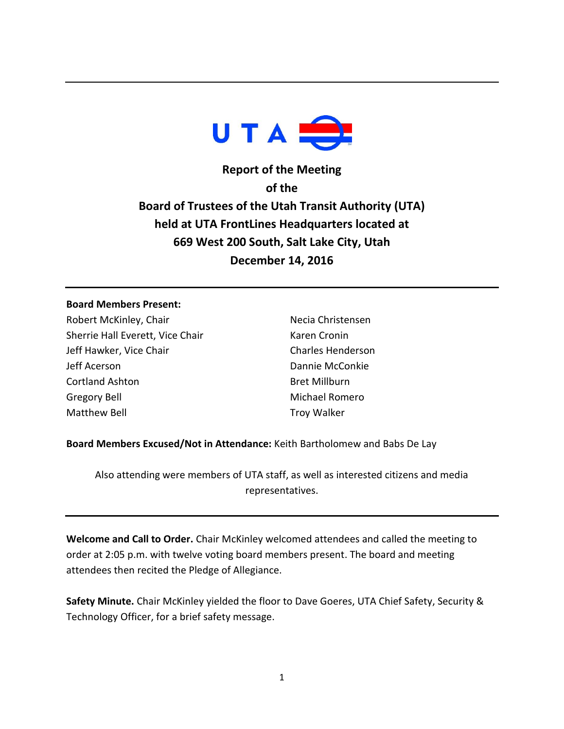

**Report of the Meeting of the Board of Trustees of the Utah Transit Authority (UTA) held at UTA FrontLines Headquarters located at 669 West 200 South, Salt Lake City, Utah December 14, 2016**

### **Board Members Present:**

Robert McKinley, Chair Sherrie Hall Everett, Vice Chair Jeff Hawker, Vice Chair Jeff Acerson Cortland Ashton Gregory Bell Matthew Bell

Necia Christensen Karen Cronin Charles Henderson Dannie McConkie Bret Millburn Michael Romero Troy Walker

**Board Members Excused/Not in Attendance:** Keith Bartholomew and Babs De Lay

Also attending were members of UTA staff, as well as interested citizens and media representatives.

**Welcome and Call to Order.** Chair McKinley welcomed attendees and called the meeting to order at 2:05 p.m. with twelve voting board members present. The board and meeting attendees then recited the Pledge of Allegiance.

**Safety Minute.** Chair McKinley yielded the floor to Dave Goeres, UTA Chief Safety, Security & Technology Officer, for a brief safety message.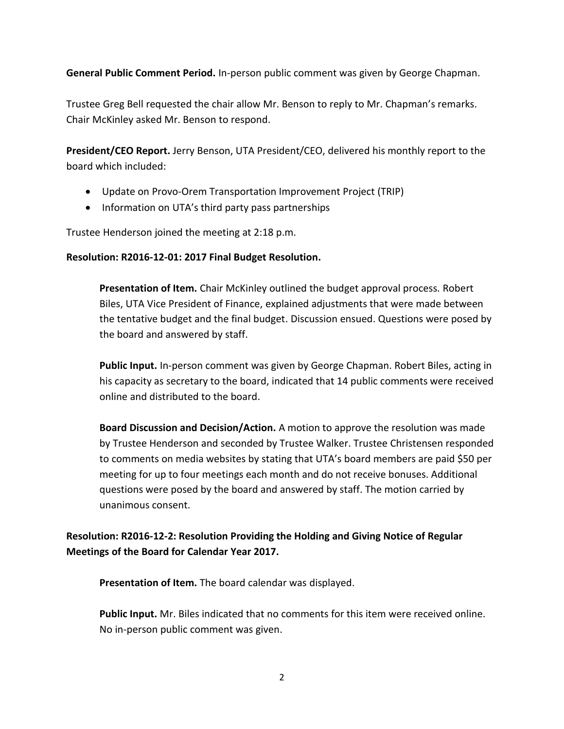**General Public Comment Period.** In-person public comment was given by George Chapman.

Trustee Greg Bell requested the chair allow Mr. Benson to reply to Mr. Chapman's remarks. Chair McKinley asked Mr. Benson to respond.

**President/CEO Report.** Jerry Benson, UTA President/CEO, delivered his monthly report to the board which included:

- Update on Provo-Orem Transportation Improvement Project (TRIP)
- Information on UTA's third party pass partnerships

Trustee Henderson joined the meeting at 2:18 p.m.

### **Resolution: R2016-12-01: 2017 Final Budget Resolution.**

**Presentation of Item.** Chair McKinley outlined the budget approval process. Robert Biles, UTA Vice President of Finance, explained adjustments that were made between the tentative budget and the final budget. Discussion ensued. Questions were posed by the board and answered by staff.

**Public Input.** In-person comment was given by George Chapman. Robert Biles, acting in his capacity as secretary to the board, indicated that 14 public comments were received online and distributed to the board.

**Board Discussion and Decision/Action.** A motion to approve the resolution was made by Trustee Henderson and seconded by Trustee Walker. Trustee Christensen responded to comments on media websites by stating that UTA's board members are paid \$50 per meeting for up to four meetings each month and do not receive bonuses. Additional questions were posed by the board and answered by staff. The motion carried by unanimous consent.

**Resolution: R2016-12-2: Resolution Providing the Holding and Giving Notice of Regular Meetings of the Board for Calendar Year 2017.**

**Presentation of Item.** The board calendar was displayed.

**Public Input.** Mr. Biles indicated that no comments for this item were received online. No in-person public comment was given.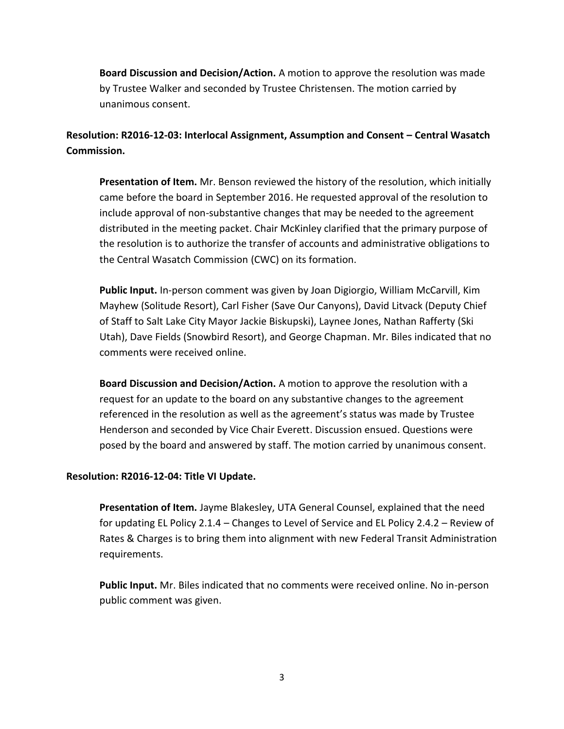**Board Discussion and Decision/Action.** A motion to approve the resolution was made by Trustee Walker and seconded by Trustee Christensen. The motion carried by unanimous consent.

**Resolution: R2016-12-03: Interlocal Assignment, Assumption and Consent – Central Wasatch Commission.**

**Presentation of Item.** Mr. Benson reviewed the history of the resolution, which initially came before the board in September 2016. He requested approval of the resolution to include approval of non-substantive changes that may be needed to the agreement distributed in the meeting packet. Chair McKinley clarified that the primary purpose of the resolution is to authorize the transfer of accounts and administrative obligations to the Central Wasatch Commission (CWC) on its formation.

**Public Input.** In-person comment was given by Joan Digiorgio, William McCarvill, Kim Mayhew (Solitude Resort), Carl Fisher (Save Our Canyons), David Litvack (Deputy Chief of Staff to Salt Lake City Mayor Jackie Biskupski), Laynee Jones, Nathan Rafferty (Ski Utah), Dave Fields (Snowbird Resort), and George Chapman. Mr. Biles indicated that no comments were received online.

**Board Discussion and Decision/Action.** A motion to approve the resolution with a request for an update to the board on any substantive changes to the agreement referenced in the resolution as well as the agreement's status was made by Trustee Henderson and seconded by Vice Chair Everett. Discussion ensued. Questions were posed by the board and answered by staff. The motion carried by unanimous consent.

# **Resolution: R2016-12-04: Title VI Update.**

**Presentation of Item.** Jayme Blakesley, UTA General Counsel, explained that the need for updating EL Policy 2.1.4 – Changes to Level of Service and EL Policy 2.4.2 – Review of Rates & Charges is to bring them into alignment with new Federal Transit Administration requirements.

**Public Input.** Mr. Biles indicated that no comments were received online. No in-person public comment was given.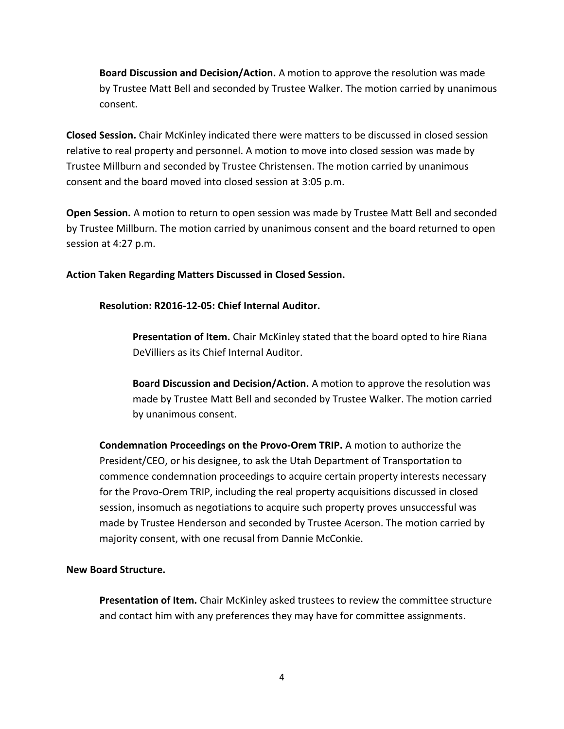**Board Discussion and Decision/Action.** A motion to approve the resolution was made by Trustee Matt Bell and seconded by Trustee Walker. The motion carried by unanimous consent.

**Closed Session.** Chair McKinley indicated there were matters to be discussed in closed session relative to real property and personnel. A motion to move into closed session was made by Trustee Millburn and seconded by Trustee Christensen. The motion carried by unanimous consent and the board moved into closed session at 3:05 p.m.

**Open Session.** A motion to return to open session was made by Trustee Matt Bell and seconded by Trustee Millburn. The motion carried by unanimous consent and the board returned to open session at 4:27 p.m.

**Action Taken Regarding Matters Discussed in Closed Session.** 

**Resolution: R2016-12-05: Chief Internal Auditor.** 

**Presentation of Item.** Chair McKinley stated that the board opted to hire Riana DeVilliers as its Chief Internal Auditor.

**Board Discussion and Decision/Action.** A motion to approve the resolution was made by Trustee Matt Bell and seconded by Trustee Walker. The motion carried by unanimous consent.

**Condemnation Proceedings on the Provo-Orem TRIP.** A motion to authorize the President/CEO, or his designee, to ask the Utah Department of Transportation to commence condemnation proceedings to acquire certain property interests necessary for the Provo-Orem TRIP, including the real property acquisitions discussed in closed session, insomuch as negotiations to acquire such property proves unsuccessful was made by Trustee Henderson and seconded by Trustee Acerson. The motion carried by majority consent, with one recusal from Dannie McConkie.

# **New Board Structure.**

**Presentation of Item.** Chair McKinley asked trustees to review the committee structure and contact him with any preferences they may have for committee assignments.